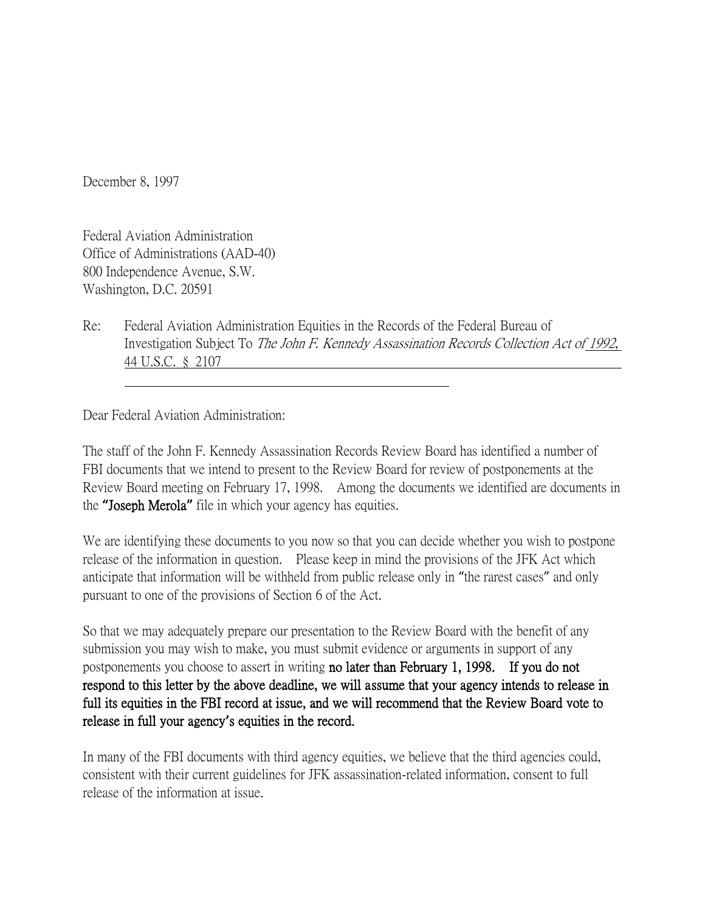December 8, 1997

Federal Aviation Administration Office of Administrations (AAD-40) 800 Independence Avenue, S.W. Washington, D.C. 20591

Re: Federal Aviation Administration Equities in the Records of the Federal Bureau of Investigation Subject To The John F. Kennedy Assassination Records Collection Act of 1992, 44 U.S.C. § 2107

Dear Federal Aviation Administration:

The staff of the John F. Kennedy Assassination Records Review Board has identified a number of FBI documents that we intend to present to the Review Board for review of postponements at the Review Board meeting on February 17, 1998. Among the documents we identified are documents in the **"**Joseph Merola**"** file in which your agency has equities.

We are identifying these documents to you now so that you can decide whether you wish to postpone release of the information in question. Please keep in mind the provisions of the JFK Act which anticipate that information will be withheld from public release only in "the rarest cases" and only pursuant to one of the provisions of Section 6 of the Act.

So that we may adequately prepare our presentation to the Review Board with the benefit of any submission you may wish to make, you must submit evidence or arguments in support of any postponements you choose to assert in writing no later than February 1, 1998. If you do not respond to this letter by the above deadline, we will assume that your agency intends to release in full its equities in the FBI record at issue, and we will recommend that the Review Board vote to release in full your agency**'**s equities in the record.

In many of the FBI documents with third agency equities, we believe that the third agencies could, consistent with their current guidelines for JFK assassination-related information, consent to full release of the information at issue.